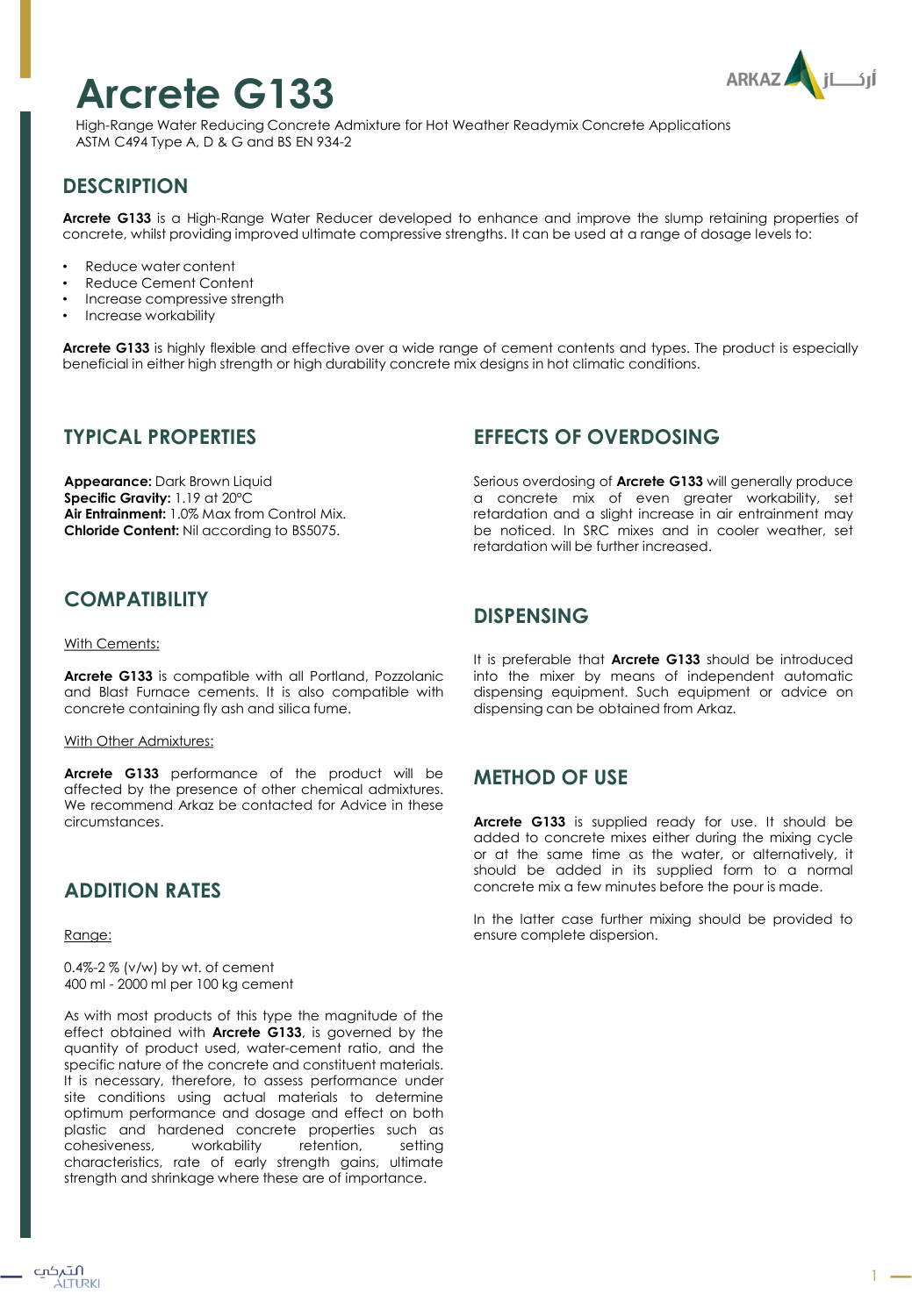# **Arcrete G133**



High-Range Water Reducing Concrete Admixture for Hot Weather Readymix Concrete Applications ASTM C494 Type A, D & G and BS EN 934-2

# **DESCRIPTION**

**Arcrete G133** is a High-Range Water Reducer developed to enhance and improve the slump retaining properties of concrete, whilst providing improved ultimate compressive strengths. It can be used at a range of dosage levels to:

- Reduce water content
- Reduce Cement Content
- Increase compressive strength
- Increase workability

**Arcrete G133** is highly flexible and effective over a wide range of cement contents and types. The product is especially beneficial in either high strength or high durability concrete mix designs in hot climatic conditions.

#### **TYPICAL PROPERTIES**

**Appearance:** Dark Brown Liquid **Specific Gravity:** 1.19 at 20ºC **Air Entrainment:** 1.0% Max from Control Mix. **Chloride Content:** Nil according to BS5075.

## **COMPATIBILITY**

#### With Cements:

**Arcrete G133** is compatible with all Portland, Pozzolanic and Blast Furnace cements. It is also compatible with concrete containing fly ash and silica fume.

#### With Other Admixtures:

**Arcrete G133** performance of the product will be affected by the presence of other chemical admixtures. We recommend Arkaz be contacted for Advice in these circumstances.

## **ADDITION RATES**

Range:

0.4%-2 % (v/w) by wt. of cement 400 ml - 2000 ml per 100 kg cement

As with most products of this type the magnitude of the effect obtained with **Arcrete G133**, is governed by the quantity of product used, water-cement ratio, and the specific nature of the concrete and constituent materials. It is necessary, therefore, to assess performance under site conditions using actual materials to determine optimum performance and dosage and effect on both plastic and hardened concrete properties such as cohesiveness, workability retention, setting characteristics, rate of early strength gains, ultimate strength and shrinkage where these are of importance.

## **EFFECTS OF OVERDOSING**

Serious overdosing of **Arcrete G133** will generally produce a concrete mix of even greater workability, set retardation and a slight increase in air entrainment may be noticed. In SRC mixes and in cooler weather, set retardation will be further increased.

#### **DISPENSING**

It is preferable that **Arcrete G133** should be introduced into the mixer by means of independent automatic dispensing equipment. Such equipment or advice on dispensing can be obtained from Arkaz.

## **METHOD OF USE**

**Arcrete G133** is supplied ready for use. It should be added to concrete mixes either during the mixing cycle or at the same time as the water, or alternatively, it should be added in its supplied form to a normal concrete mix a few minutes before the pour is made.

In the latter case further mixing should be provided to ensure complete dispersion.

1